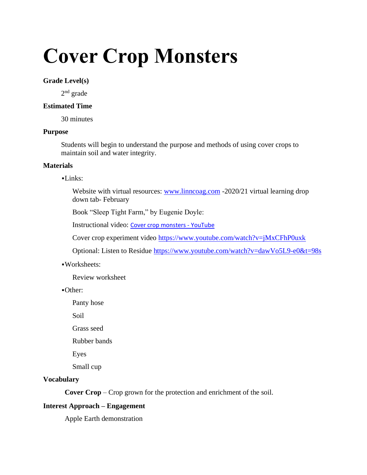# **Cover Crop Monsters**

#### **Grade Level(s)**

2<sup>nd</sup> grade

## **Estimated Time**

30 minutes

#### **Purpose**

Students will begin to understand the purpose and methods of using cover crops to maintain soil and water integrity.

## **Materials**

#### ▪Links:

Website with virtual resources: [www.linncoag.com](http://www.linncoag.com/) -2020/21 virtual learning drop down tab- February

Book "Sleep Tight Farm," by Eugenie Doyle:

Instructional video: [Cover crop monsters -](https://www.youtube.com/watch?v=Mye0JfDgk0M) YouTube

Cover crop experiment video<https://www.youtube.com/watch?v=jMxCFhP0uxk>

Optional: Listen to Residue<https://www.youtube.com/watch?v=dawVo5L9-e0&t=98s>

## ▪Worksheets:

Review worksheet

▪Other:

Panty hose

Soil

Grass seed

Rubber bands

Eyes

Small cup

## **Vocabulary**

**Cover Crop** – Crop grown for the protection and enrichment of the soil.

## **Interest Approach – Engagement**

Apple Earth demonstration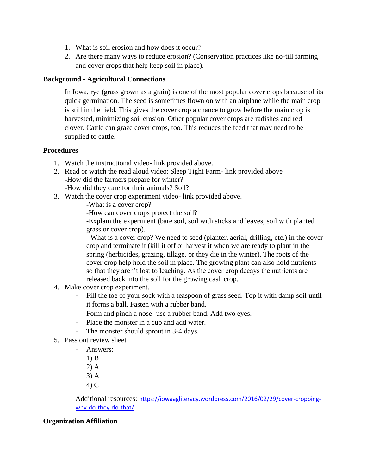- 1. What is soil erosion and how does it occur?
- 2. Are there many ways to reduce erosion? (Conservation practices like no-till farming and cover crops that help keep soil in place).

# **Background - Agricultural Connections**

In Iowa, rye (grass grown as a grain) is one of the most popular cover crops because of its quick germination. The seed is sometimes flown on with an airplane while the main crop is still in the field. This gives the cover crop a chance to grow before the main crop is harvested, minimizing soil erosion. Other popular cover crops are radishes and red clover. Cattle can graze cover crops, too. This reduces the feed that may need to be supplied to cattle.

## **Procedures**

- 1. Watch the instructional video- link provided above.
- 2. Read or watch the read aloud video: Sleep Tight Farm- link provided above -How did the farmers prepare for winter? -How did they care for their animals? Soil?
- 
- 3. Watch the cover crop experiment video- link provided above.

-What is a cover crop?

-How can cover crops protect the soil?

-Explain the experiment (bare soil, soil with sticks and leaves, soil with planted grass or cover crop).

- What is a cover crop? We need to seed (planter, aerial, drilling, etc.) in the cover crop and terminate it (kill it off or harvest it when we are ready to plant in the spring (herbicides, grazing, tillage, or they die in the winter). The roots of the cover crop help hold the soil in place. The growing plant can also hold nutrients so that they aren't lost to leaching. As the cover crop decays the nutrients are released back into the soil for the growing cash crop.

- 4. Make cover crop experiment.
	- Fill the toe of your sock with a teaspoon of grass seed. Top it with damp soil until it forms a ball. Fasten with a rubber band.
	- Form and pinch a nose- use a rubber band. Add two eyes.
	- Place the monster in a cup and add water.
	- The monster should sprout in 3-4 days.
- 5. Pass out review sheet
	- Answers:
		- 1) B
		- 2) A
		- 3) A
		- 4) C

Additional resources: [https://iowaagliteracy.wordpress.com/2016/02/29/cover-cropping](https://iowaagliteracy.wordpress.com/2016/02/29/cover-cropping-why-do-they-do-that/)[why-do-they-do-that/](https://iowaagliteracy.wordpress.com/2016/02/29/cover-cropping-why-do-they-do-that/)

## **Organization Affiliation**